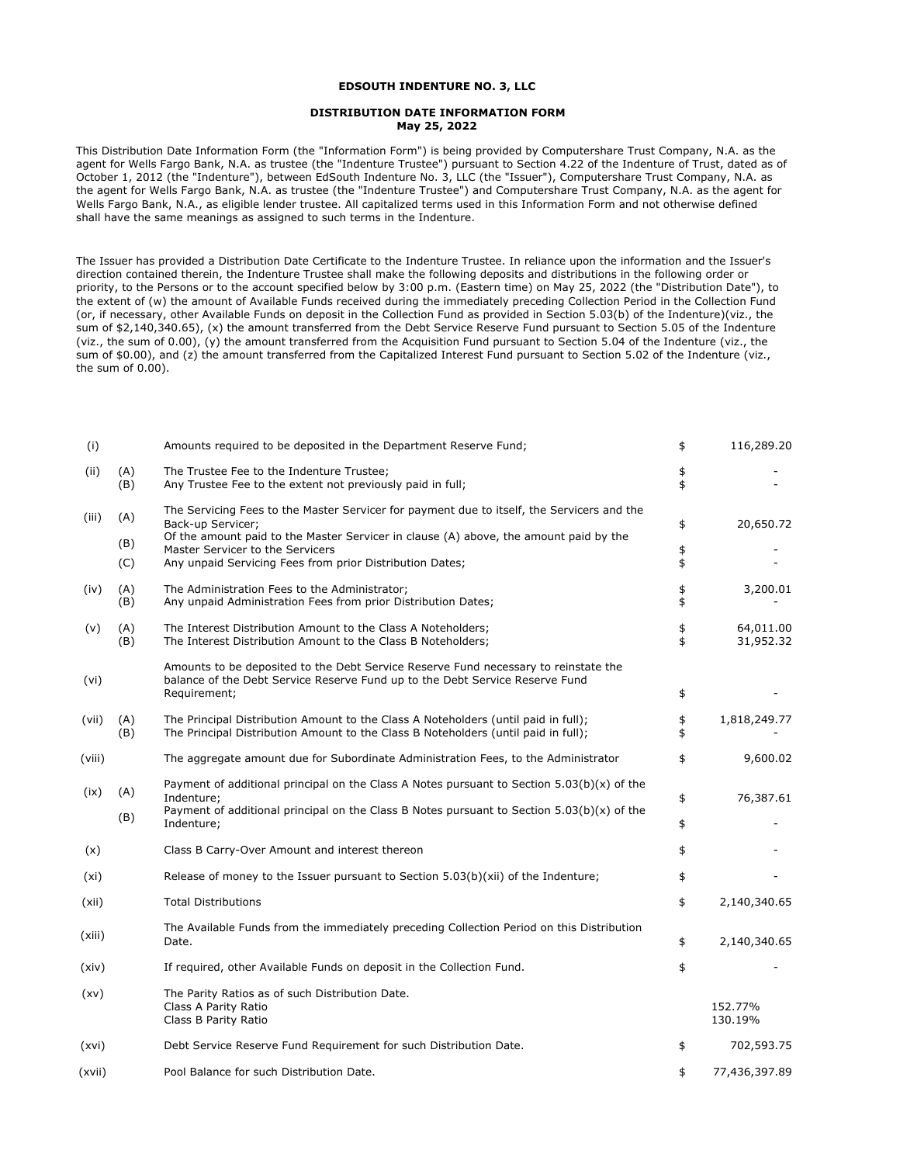## **EDSOUTH INDENTURE NO. 3, LLC**

## **DISTRIBUTION DATE INFORMATION FORM May 25, 2022**

This Distribution Date Information Form (the "Information Form") is being provided by Computershare Trust Company, N.A. as the agent for Wells Fargo Bank, N.A. as trustee (the "Indenture Trustee") pursuant to Section 4.22 of the Indenture of Trust, dated as of October 1, 2012 (the "Indenture"), between EdSouth Indenture No. 3, LLC (the "Issuer"), Computershare Trust Company, N.A. as the agent for Wells Fargo Bank, N.A. as trustee (the "Indenture Trustee") and Computershare Trust Company, N.A. as the agent for Wells Fargo Bank, N.A., as eligible lender trustee. All capitalized terms used in this Information Form and not otherwise defined shall have the same meanings as assigned to such terms in the Indenture.

The Issuer has provided a Distribution Date Certificate to the Indenture Trustee. In reliance upon the information and the Issuer's direction contained therein, the Indenture Trustee shall make the following deposits and distributions in the following order or priority, to the Persons or to the account specified below by 3:00 p.m. (Eastern time) on May 25, 2022 (the "Distribution Date"), to the extent of (w) the amount of Available Funds received during the immediately preceding Collection Period in the Collection Fund (or, if necessary, other Available Funds on deposit in the Collection Fund as provided in Section 5.03(b) of the Indenture)(viz., the sum of \$2,140,340.65), (x) the amount transferred from the Debt Service Reserve Fund pursuant to Section 5.05 of the Indenture (viz., the sum of 0.00), (y) the amount transferred from the Acquisition Fund pursuant to Section 5.04 of the Indenture (viz., the sum of \$0.00), and (z) the amount transferred from the Capitalized Interest Fund pursuant to Section 5.02 of the Indenture (viz., the sum of 0.00).

| (i)    |            | Amounts required to be deposited in the Department Reserve Fund;                                                                                                                                         | \$       | 116,289.20             |
|--------|------------|----------------------------------------------------------------------------------------------------------------------------------------------------------------------------------------------------------|----------|------------------------|
| (ii)   | (A)<br>(B) | The Trustee Fee to the Indenture Trustee;<br>Any Trustee Fee to the extent not previously paid in full;                                                                                                  | \$<br>\$ |                        |
| (iii)  | (A)        | The Servicing Fees to the Master Servicer for payment due to itself, the Servicers and the<br>Back-up Servicer;<br>Of the amount paid to the Master Servicer in clause (A) above, the amount paid by the | \$       | 20,650.72              |
|        | (B)<br>(C) | Master Servicer to the Servicers<br>Any unpaid Servicing Fees from prior Distribution Dates;                                                                                                             | \$<br>\$ |                        |
| (iv)   | (A)<br>(B) | The Administration Fees to the Administrator;<br>Any unpaid Administration Fees from prior Distribution Dates;                                                                                           | \$<br>\$ | 3,200.01               |
| (v)    | (A)<br>(B) | The Interest Distribution Amount to the Class A Noteholders;<br>The Interest Distribution Amount to the Class B Noteholders;                                                                             | \$<br>\$ | 64,011.00<br>31,952.32 |
| (vi)   |            | Amounts to be deposited to the Debt Service Reserve Fund necessary to reinstate the<br>balance of the Debt Service Reserve Fund up to the Debt Service Reserve Fund<br>Requirement;                      | \$       |                        |
| (vii)  | (A)<br>(B) | The Principal Distribution Amount to the Class A Noteholders (until paid in full);<br>The Principal Distribution Amount to the Class B Noteholders (until paid in full);                                 | \$<br>\$ | 1,818,249.77           |
| (viii) |            | The aggregate amount due for Subordinate Administration Fees, to the Administrator                                                                                                                       | \$       | 9,600.02               |
| (ix)   | (A)        | Payment of additional principal on the Class A Notes pursuant to Section $5.03(b)(x)$ of the<br>Indenture:                                                                                               | \$       | 76,387.61              |
|        | (B)        | Payment of additional principal on the Class B Notes pursuant to Section $5.03(b)(x)$ of the<br>Indenture;                                                                                               | \$       |                        |
| (x)    |            | Class B Carry-Over Amount and interest thereon                                                                                                                                                           | \$       |                        |
| (xi)   |            | Release of money to the Issuer pursuant to Section 5.03(b)(xii) of the Indenture;                                                                                                                        | \$       |                        |
| (xii)  |            | <b>Total Distributions</b>                                                                                                                                                                               | \$       | 2,140,340.65           |
| (xiii) |            | The Available Funds from the immediately preceding Collection Period on this Distribution<br>Date.                                                                                                       | \$       | 2,140,340.65           |
| (xiv)  |            | If required, other Available Funds on deposit in the Collection Fund.                                                                                                                                    | \$       |                        |
| (xv)   |            | The Parity Ratios as of such Distribution Date.<br>Class A Parity Ratio<br>Class B Parity Ratio                                                                                                          |          | 152.77%<br>130.19%     |
| (xvi)  |            | Debt Service Reserve Fund Requirement for such Distribution Date.                                                                                                                                        | \$       | 702,593.75             |
| (xvii) |            | Pool Balance for such Distribution Date.                                                                                                                                                                 | \$       | 77,436,397.89          |